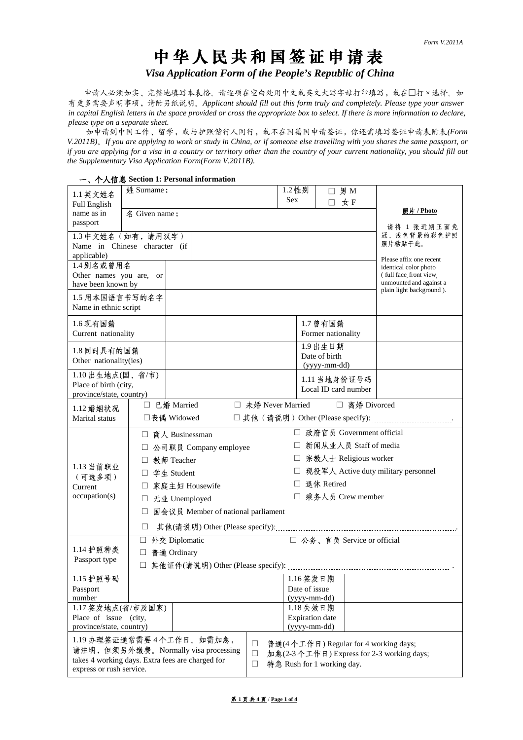# 中华人民共和国签证申请表

*Visa Application Form of the People's Republic of China*

申请人必须如实、完整地填写本表格。请逐项在空白处用中文或英文大写字母打印填写,或在□打×选择。如 有更多需要声明事项,请附另纸说明。*Applicant should fill out this form truly and completely. Please type your answer in capital English letters in the space provided or cross the appropriate box to select. If there is more information to declare, please type on a separate sheet.*

如申请到中国工作、留学,或与护照偕行人同行,或不在国籍国申请签证,你还需填写签证申请表附表*(Form V.2011B)*。*If you are applying to work or study in China, or if someone else travelling with you shares the same passport, or if you are applying for a visa in a country or territory other than the country of your current nationality, you should fill out the Supplementary Visa Application Form(Form V.2011B).*

|                                                   | 一、个人信息 Section 1: Personal information           |                                                    |                    |                             |               |                                                   |  |  |
|---------------------------------------------------|--------------------------------------------------|----------------------------------------------------|--------------------|-----------------------------|---------------|---------------------------------------------------|--|--|
| 1.1 英文姓名                                          | 姓 Surname:                                       |                                                    | 1.2 性别             | П.                          | 男 M           |                                                   |  |  |
| <b>Full English</b>                               |                                                  |                                                    | <b>Sex</b>         | П.                          | 女F            |                                                   |  |  |
| name as in                                        | 名 Given name:                                    |                                                    |                    |                             |               | 照片 / Photo                                        |  |  |
| passport                                          |                                                  |                                                    |                    |                             |               | 请将 1 张近期正面免                                       |  |  |
|                                                   | 1.3 中文姓名(如有,请用汉字)                                |                                                    |                    |                             |               | 冠、浅色背景的彩色护照                                       |  |  |
|                                                   | Name in Chinese character (if                    |                                                    |                    |                             |               | 照片粘贴于此。                                           |  |  |
| applicable)                                       |                                                  |                                                    |                    |                             |               | Please affix one recent                           |  |  |
| 1.4别名或曾用名                                         |                                                  |                                                    |                    |                             |               | identical color photo                             |  |  |
| Other names you are, or                           |                                                  |                                                    |                    |                             |               | (full face front view)<br>unmounted and against a |  |  |
| have been known by                                |                                                  |                                                    |                    |                             |               | plain light background ).                         |  |  |
| 1.5 用本国语言书写的名字                                    |                                                  |                                                    |                    |                             |               |                                                   |  |  |
| Name in ethnic script                             |                                                  |                                                    |                    |                             |               |                                                   |  |  |
| 1.6 现有国籍                                          |                                                  |                                                    |                    | 1.7 曾有国籍                    |               |                                                   |  |  |
| Current nationality                               |                                                  |                                                    |                    | Former nationality          |               |                                                   |  |  |
|                                                   |                                                  |                                                    |                    | 1.9 出生日期                    |               |                                                   |  |  |
| 1.8 同时具有的国籍<br>Other nationality(ies)             |                                                  |                                                    |                    | Date of birth               |               |                                                   |  |  |
|                                                   |                                                  |                                                    |                    | (yyyy-mm-dd)                |               |                                                   |  |  |
| 1.10 出生地点(国、省/市)                                  |                                                  |                                                    |                    | 1.11 当地身份证号码                |               |                                                   |  |  |
| Place of birth (city,<br>province/state, country) |                                                  |                                                    |                    | Local ID card number        |               |                                                   |  |  |
|                                                   | □ 已婚 Married                                     |                                                    | □ 未婚 Never Married |                             | □ 离婚 Divorced |                                                   |  |  |
| 1.12 婚姻状况<br>Marital status                       | □丧偶 Widowed                                      |                                                    |                    |                             |               |                                                   |  |  |
|                                                   |                                                  |                                                    |                    |                             |               |                                                   |  |  |
|                                                   | □ 商人 Businessman                                 |                                                    |                    | □ 政府官员 Government official  |               |                                                   |  |  |
|                                                   |                                                  | □ 新闻从业人员 Staff of media<br>□ 公司职员 Company employee |                    |                             |               |                                                   |  |  |
|                                                   | 教师 Teacher<br>$\perp$                            | □ 宗教人士 Religious worker                            |                    |                             |               |                                                   |  |  |
| 1.13 当前职业                                         | 学生 Student                                       | □ 现役军人 Active duty military personnel              |                    |                             |               |                                                   |  |  |
| (可选多项)<br>Current                                 |                                                  | □ 退休 Retired<br>家庭主妇 Housewife                     |                    |                             |               |                                                   |  |  |
| occupation(s)                                     |                                                  | □ 乘务人员 Crew member<br>□ 无业 Unemployed              |                    |                             |               |                                                   |  |  |
|                                                   |                                                  |                                                    |                    |                             |               |                                                   |  |  |
|                                                   | 国会议员 Member of national parliament<br>$\Box$     |                                                    |                    |                             |               |                                                   |  |  |
|                                                   | $\mathsf{L}$                                     |                                                    |                    |                             |               |                                                   |  |  |
|                                                   | 外交 Diplomatic<br>П                               |                                                    |                    | □ 公务、官员 Service or official |               |                                                   |  |  |
| 1.14 护照种类                                         | □ 普通 Ordinary                                    |                                                    |                    |                             |               |                                                   |  |  |
| Passport type                                     | □ 其他证件(请说明) Other (Please specify):              |                                                    |                    |                             |               |                                                   |  |  |
| 1.15 护照号码                                         |                                                  |                                                    |                    | 1.16 签发日期                   |               |                                                   |  |  |
| Passport                                          |                                                  |                                                    |                    | Date of issue               |               |                                                   |  |  |
| number                                            |                                                  |                                                    |                    | (yyyy-mm-dd)                |               |                                                   |  |  |
| 1.17 签发地点(省/市及国家)<br>1.18 失效日期                    |                                                  |                                                    |                    |                             |               |                                                   |  |  |
| <b>Expiration</b> date<br>Place of issue (city,   |                                                  |                                                    |                    |                             |               |                                                   |  |  |
|                                                   | (yyyy-mm-dd)<br>province/state, country)         |                                                    |                    |                             |               |                                                   |  |  |
|                                                   | 1.19 办理签证通常需要4个工作日。如需加急,                         |                                                    | $\Box$             |                             |               | 普通(4个工作日) Regular for 4 working days;             |  |  |
|                                                   | 请注明, 但须另外缴费。Normally visa processing             |                                                    | $\Box$             |                             |               | 加急(2-3个工作日) Express for 2-3 working days;         |  |  |
|                                                   | takes 4 working days. Extra fees are charged for |                                                    | $\Box$             | 特急 Rush for 1 working day.  |               |                                                   |  |  |
| express or rush service.                          |                                                  |                                                    |                    |                             |               |                                                   |  |  |

第 **1** 页 共 **4** 页 / **Page 1 of 4**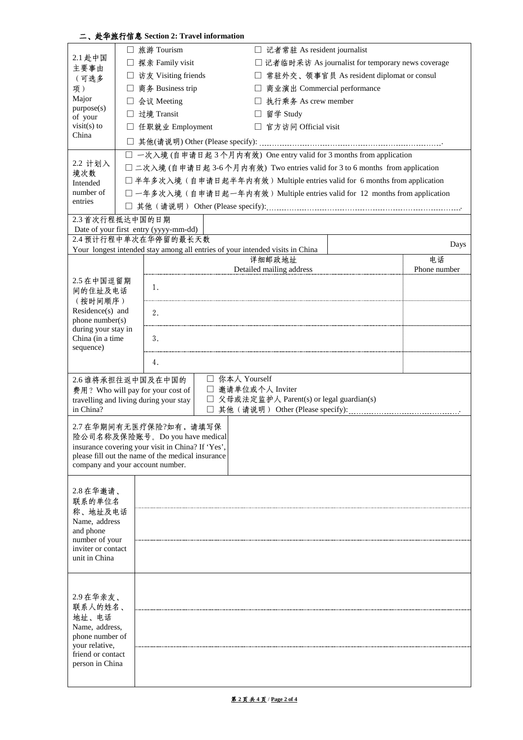|                                                          |                                                                                   | 二、赴华旅行信息 Section 2: Travel information                                                                                                             |                |            |                                                                               |                                                                           |                    |
|----------------------------------------------------------|-----------------------------------------------------------------------------------|----------------------------------------------------------------------------------------------------------------------------------------------------|----------------|------------|-------------------------------------------------------------------------------|---------------------------------------------------------------------------|--------------------|
|                                                          | □ 旅游 Tourism                                                                      |                                                                                                                                                    |                |            | □ 记者常驻 As resident journalist                                                 |                                                                           |                    |
| 2.1 赴中国                                                  |                                                                                   | □ 探亲 Family visit                                                                                                                                  |                |            |                                                                               | □ 记者临时采访 As journalist for temporary news coverage                        |                    |
| 主要事由<br>(可选多                                             |                                                                                   | □ 常驻外交、领事官员 As resident diplomat or consul<br>□ 访友 Visiting friends                                                                                |                |            |                                                                               |                                                                           |                    |
| 项)                                                       |                                                                                   | □ 商务 Business trip<br>商业演出 Commercial performance                                                                                                  |                |            |                                                                               |                                                                           |                    |
| Major                                                    | □ 会议 Meeting                                                                      |                                                                                                                                                    |                |            | □ 执行乘务 As crew member                                                         |                                                                           |                    |
| purpose(s)<br>of your                                    | □ 过境 Transit                                                                      |                                                                                                                                                    |                | □ 留学 Study |                                                                               |                                                                           |                    |
| $visit(s)$ to                                            |                                                                                   | □ 任职就业 Employment                                                                                                                                  |                |            | □ 官方访问 Official visit                                                         |                                                                           |                    |
| China                                                    |                                                                                   |                                                                                                                                                    |                |            |                                                                               |                                                                           |                    |
|                                                          |                                                                                   |                                                                                                                                                    |                |            |                                                                               |                                                                           |                    |
| 2.2 计划入                                                  |                                                                                   | □ 一次入境 (自申请日起3个月内有效) One entry valid for 3 months from application<br>□ 二次入境 (自申请日起 3-6个月内有效) Two entries valid for 3 to 6 months from application |                |            |                                                                               |                                                                           |                    |
| 境次数                                                      |                                                                                   |                                                                                                                                                    |                |            |                                                                               | □ 半年多次入境(自申请日起半年内有效) Multiple entries valid for 6 months from application |                    |
| Intended<br>number of                                    |                                                                                   |                                                                                                                                                    |                |            |                                                                               | □一年多次入境(自申请日起一年内有效) Multiple entries valid for 12 months from application |                    |
| entries                                                  |                                                                                   |                                                                                                                                                    |                |            |                                                                               |                                                                           |                    |
| 2.3 首次行程抵达中国的日期                                          |                                                                                   |                                                                                                                                                    |                |            |                                                                               |                                                                           |                    |
|                                                          |                                                                                   | Date of your first entry (yyyy-mm-dd)                                                                                                              |                |            |                                                                               |                                                                           |                    |
|                                                          |                                                                                   | 2.4 预计行程中单次在华停留的最长天数                                                                                                                               |                |            |                                                                               |                                                                           | Days               |
|                                                          |                                                                                   |                                                                                                                                                    |                |            | Your longest intended stay among all entries of your intended visits in China |                                                                           |                    |
|                                                          |                                                                                   |                                                                                                                                                    |                |            | 详细邮政地址<br>Detailed mailing address                                            |                                                                           | 电话<br>Phone number |
| 2.5 在中国逗留期                                               |                                                                                   |                                                                                                                                                    |                |            |                                                                               |                                                                           |                    |
| 间的住址及电话                                                  |                                                                                   | 1.                                                                                                                                                 |                |            |                                                                               |                                                                           |                    |
| (按时间顺序)                                                  |                                                                                   |                                                                                                                                                    |                |            |                                                                               |                                                                           |                    |
| Residence(s) and<br>phone number(s)                      |                                                                                   | 2.                                                                                                                                                 |                |            |                                                                               |                                                                           |                    |
| during your stay in                                      |                                                                                   |                                                                                                                                                    |                |            |                                                                               |                                                                           |                    |
| China (in a time                                         |                                                                                   | 3.                                                                                                                                                 |                |            |                                                                               |                                                                           |                    |
| sequence)                                                |                                                                                   |                                                                                                                                                    |                |            |                                                                               |                                                                           |                    |
|                                                          | 4.                                                                                |                                                                                                                                                    |                |            |                                                                               |                                                                           |                    |
| 2.6 谁将承担往返中国及在中国的                                        |                                                                                   |                                                                                                                                                    | □ 你本人 Yourself |            |                                                                               |                                                                           |                    |
|                                                          | □ 邀请单位或个人 Inviter<br>费用? Who will pay for your cost of                            |                                                                                                                                                    |                |            |                                                                               |                                                                           |                    |
| in China?                                                | 父母或法定监护人 Parent(s) or legal guardian(s)<br>travelling and living during your stay |                                                                                                                                                    |                |            |                                                                               |                                                                           |                    |
|                                                          |                                                                                   |                                                                                                                                                    |                |            |                                                                               |                                                                           |                    |
| 2.7 在华期间有无医疗保险?如有,请填写保<br>险公司名称及保险账号。Do you have medical |                                                                                   |                                                                                                                                                    |                |            |                                                                               |                                                                           |                    |
|                                                          |                                                                                   | insurance covering your visit in China? If 'Yes',                                                                                                  |                |            |                                                                               |                                                                           |                    |
|                                                          |                                                                                   | please fill out the name of the medical insurance                                                                                                  |                |            |                                                                               |                                                                           |                    |
| company and your account number.                         |                                                                                   |                                                                                                                                                    |                |            |                                                                               |                                                                           |                    |
|                                                          |                                                                                   |                                                                                                                                                    |                |            |                                                                               |                                                                           |                    |
| 2.8 在华邀请、<br>联系的单位名                                      |                                                                                   |                                                                                                                                                    |                |            |                                                                               |                                                                           |                    |
| 称、地址及电话                                                  |                                                                                   |                                                                                                                                                    |                |            |                                                                               |                                                                           |                    |
| Name, address                                            |                                                                                   |                                                                                                                                                    |                |            |                                                                               |                                                                           |                    |
| and phone                                                |                                                                                   |                                                                                                                                                    |                |            |                                                                               |                                                                           |                    |
| number of your<br>inviter or contact                     |                                                                                   |                                                                                                                                                    |                |            |                                                                               |                                                                           |                    |
| unit in China                                            |                                                                                   |                                                                                                                                                    |                |            |                                                                               |                                                                           |                    |
|                                                          |                                                                                   |                                                                                                                                                    |                |            |                                                                               |                                                                           |                    |
|                                                          |                                                                                   |                                                                                                                                                    |                |            |                                                                               |                                                                           |                    |
| 2.9在华亲友、                                                 |                                                                                   |                                                                                                                                                    |                |            |                                                                               |                                                                           |                    |
| 联系人的姓名、                                                  |                                                                                   |                                                                                                                                                    |                |            |                                                                               |                                                                           |                    |
| 地址、电话<br>Name, address.                                  |                                                                                   |                                                                                                                                                    |                |            |                                                                               |                                                                           |                    |
| phone number of                                          |                                                                                   |                                                                                                                                                    |                |            |                                                                               |                                                                           |                    |
| your relative,                                           |                                                                                   |                                                                                                                                                    |                |            |                                                                               |                                                                           |                    |
| friend or contact<br>person in China                     |                                                                                   |                                                                                                                                                    |                |            |                                                                               |                                                                           |                    |
|                                                          |                                                                                   |                                                                                                                                                    |                |            |                                                                               |                                                                           |                    |
|                                                          |                                                                                   |                                                                                                                                                    |                |            |                                                                               |                                                                           |                    |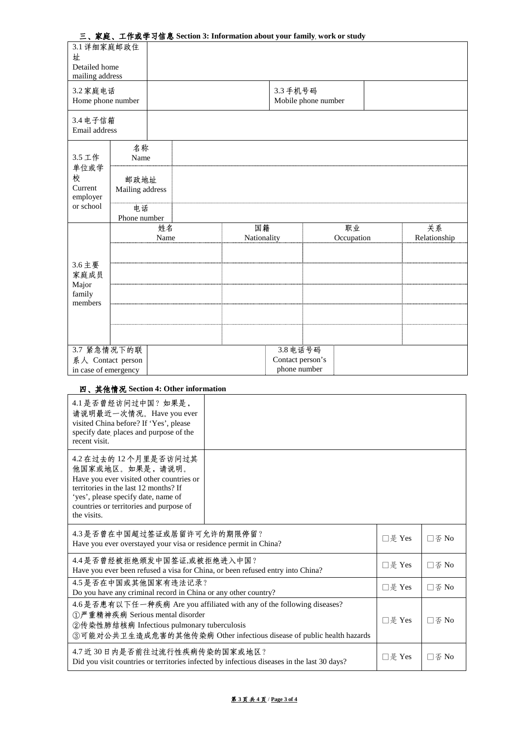| 三、家庭、工作或学习信息 Section 3: Information about your family, work or study |  |  |
|----------------------------------------------------------------------|--|--|
|----------------------------------------------------------------------|--|--|

| 3.1 详细家庭邮政住<br>址<br>Detailed home<br>mailing address     |                         |            |                   |                                              |                                 |                  |  |                    |  |
|----------------------------------------------------------|-------------------------|------------|-------------------|----------------------------------------------|---------------------------------|------------------|--|--------------------|--|
| 3.2 家庭电话<br>Home phone number                            |                         |            |                   |                                              | 3.3 手机号码<br>Mobile phone number |                  |  |                    |  |
| 3.4 电子信箱<br>Email address                                |                         |            |                   |                                              |                                 |                  |  |                    |  |
| 3.5 工作                                                   | 名称<br>Name              |            |                   |                                              |                                 |                  |  |                    |  |
| 单位或学<br>校<br>Current<br>employer                         | 邮政地址<br>Mailing address |            |                   |                                              |                                 |                  |  |                    |  |
| or school                                                | 电话<br>Phone number      |            |                   |                                              |                                 |                  |  |                    |  |
|                                                          |                         | 姓名<br>Name | 国籍<br>Nationality |                                              |                                 | 职业<br>Occupation |  | 关系<br>Relationship |  |
|                                                          |                         |            |                   |                                              |                                 |                  |  |                    |  |
| 3.6 主要<br>家庭成员<br>Major                                  |                         |            |                   |                                              |                                 |                  |  |                    |  |
| family<br>members                                        |                         |            |                   |                                              |                                 |                  |  |                    |  |
|                                                          |                         |            |                   |                                              |                                 |                  |  |                    |  |
|                                                          |                         |            |                   |                                              |                                 |                  |  |                    |  |
| 3.7 紧急情况下的联<br>系人 Contact person<br>in case of emergency |                         |            |                   | 3.8 电话号码<br>Contact person's<br>phone number |                                 |                  |  |                    |  |

# 四、其他情况 **Section 4: Other information**

| 4.1 是否曾经访问过中国?如果是,<br>请说明最近一次情况。Have you ever<br>visited China before? If 'Yes', please<br>specify date, places and purpose of the<br>recent visit.                                                                             |        |         |                                        |
|---------------------------------------------------------------------------------------------------------------------------------------------------------------------------------------------------------------------------------|--------|---------|----------------------------------------|
| 4.2 在过去的12个月里是否访问过其<br>他国家或地区。如果是,请说明。<br>Have you ever visited other countries or<br>territories in the last 12 months? If<br>'yes', please specify date, name of<br>countries or territories and purpose of<br>the visits.    |        |         |                                        |
| 4.3是否曾在中国超过签证或居留许可允许的期限停留?<br>Have you ever overstayed your visa or residence permit in China?                                                                                                                                  |        |         | $\Box$ $\Phi$ No                       |
| 4.4是否曾经被拒绝颁发中国签证,或被拒绝进入中国?<br>Have you ever been refused a visa for China, or been refused entry into China?                                                                                                                    |        |         | $\Box$ $\overline{\varphi}$ No         |
| 4.5 是否在中国或其他国家有违法记录?<br>Do you have any criminal record in China or any other country?                                                                                                                                          |        |         | $\square$ $\overline{\vartriangle}$ No |
| 4.6 是否患有以下任一种疾病 Are you affiliated with any of the following diseases?<br>①严重精神疾病 Serious mental disorder<br>②传染性肺结核病 Infectious pulmonary tuberculosis<br>③可能对公共卫生造成危害的其他传染病 Other infectious disease of public health hazards |        |         | $\Box$ $\Phi$ No                       |
| 4.7 近 30 日内是否前往过流行性疾病传染的国家或地区?<br>Did you visit countries or territories infected by infectious diseases in the last 30 days?                                                                                                   | □是 Yes | 口否 $No$ |                                        |

# 第 **3** 页 共 **4** 页 / **Page 3 of 4**